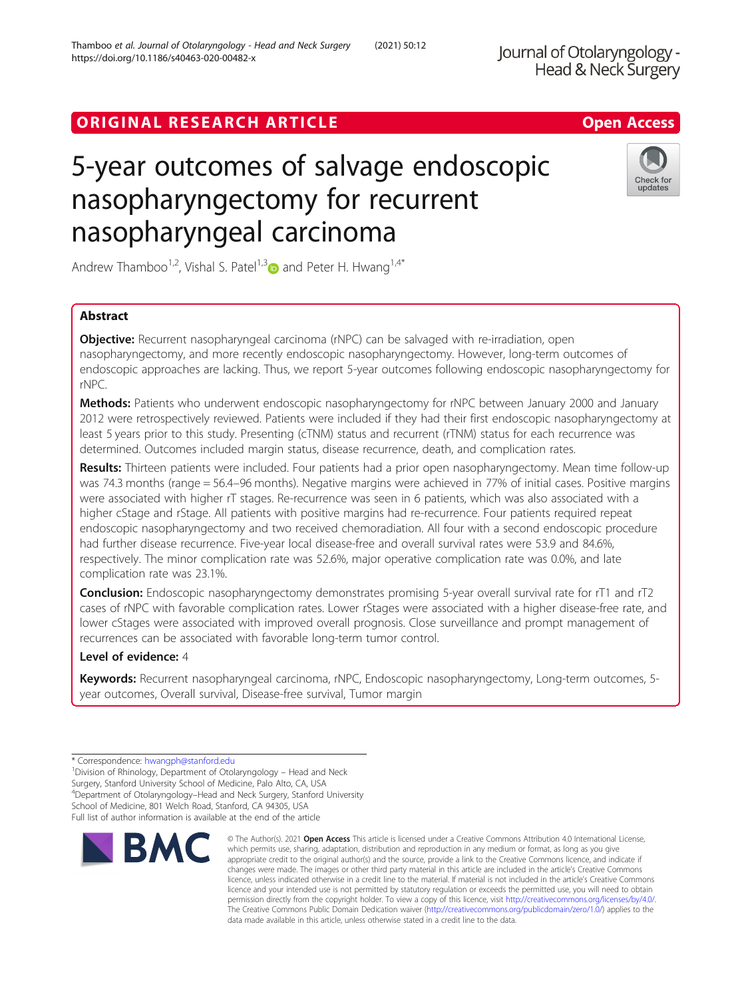# ORIGINAL RESEARCH ARTICLE **Solution Contract Contract Contract Contract Contract Contract Contract Contract Contract Contract Contract Contract Contract Contract Contract Contract Contract Contract Contract Contract Contra**

# 5-year outcomes of salvage endoscopic nasopharyngectomy for recurrent nasopharyngeal carcinoma

Andrew Thamboo<sup>1,2</sup>, Vishal S. Patel<sup>1,[3](http://orcid.org/0000-0003-2939-3840)</sup> and Peter H. Hwang<sup>1,4\*</sup>

# Abstract

**Objective:** Recurrent nasopharyngeal carcinoma (rNPC) can be salvaged with re-irradiation, open nasopharyngectomy, and more recently endoscopic nasopharyngectomy. However, long-term outcomes of endoscopic approaches are lacking. Thus, we report 5-year outcomes following endoscopic nasopharyngectomy for rNPC.

Methods: Patients who underwent endoscopic nasopharyngectomy for rNPC between January 2000 and January 2012 were retrospectively reviewed. Patients were included if they had their first endoscopic nasopharyngectomy at least 5 years prior to this study. Presenting (cTNM) status and recurrent (rTNM) status for each recurrence was determined. Outcomes included margin status, disease recurrence, death, and complication rates.

Results: Thirteen patients were included. Four patients had a prior open nasopharyngectomy. Mean time follow-up was 74.3 months (range = 56.4–96 months). Negative margins were achieved in 77% of initial cases. Positive margins were associated with higher rT stages. Re-recurrence was seen in 6 patients, which was also associated with a higher cStage and rStage. All patients with positive margins had re-recurrence. Four patients required repeat endoscopic nasopharyngectomy and two received chemoradiation. All four with a second endoscopic procedure had further disease recurrence. Five-year local disease-free and overall survival rates were 53.9 and 84.6%, respectively. The minor complication rate was 52.6%, major operative complication rate was 0.0%, and late complication rate was 23.1%.

Conclusion: Endoscopic nasopharyngectomy demonstrates promising 5-year overall survival rate for rT1 and rT2 cases of rNPC with favorable complication rates. Lower rStages were associated with a higher disease-free rate, and lower cStages were associated with improved overall prognosis. Close surveillance and prompt management of recurrences can be associated with favorable long-term tumor control.

# Level of evidence: 4

Keywords: Recurrent nasopharyngeal carcinoma, rNPC, Endoscopic nasopharyngectomy, Long-term outcomes, 5year outcomes, Overall survival, Disease-free survival, Tumor margin

\* Correspondence: [hwangph@stanford.edu](mailto:hwangph@stanford.edu) <sup>1</sup>

<sup>1</sup> Division of Rhinology, Department of Otolaryngology – Head and Neck Surgery, Stanford University School of Medicine, Palo Alto, CA, USA 4 Department of Otolaryngology–Head and Neck Surgery, Stanford University School of Medicine, 801 Welch Road, Stanford, CA 94305, USA Full list of author information is available at the end of the article

Thamboo et al. Journal of Otolaryngology - Head and Neck Surgery (2021) 50:12





Head & Neck Surgery

Journal of Otolaryngology -

© The Author(s), 2021 **Open Access** This article is licensed under a Creative Commons Attribution 4.0 International License, which permits use, sharing, adaptation, distribution and reproduction in any medium or format, as long as you give appropriate credit to the original author(s) and the source, provide a link to the Creative Commons licence, and indicate if changes were made. The images or other third party material in this article are included in the article's Creative Commons licence, unless indicated otherwise in a credit line to the material. If material is not included in the article's Creative Commons licence and your intended use is not permitted by statutory regulation or exceeds the permitted use, you will need to obtain permission directly from the copyright holder. To view a copy of this licence, visit [http://creativecommons.org/licenses/by/4.0/.](http://creativecommons.org/licenses/by/4.0/) The Creative Commons Public Domain Dedication waiver [\(http://creativecommons.org/publicdomain/zero/1.0/](http://creativecommons.org/publicdomain/zero/1.0/)) applies to the data made available in this article, unless otherwise stated in a credit line to the data.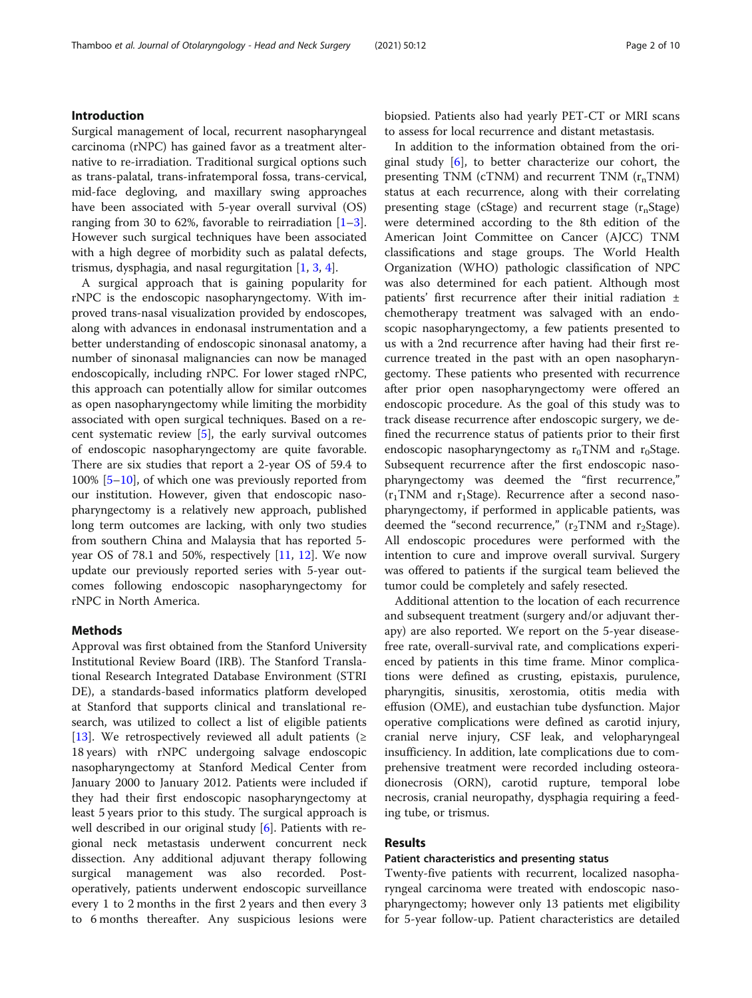Surgical management of local, recurrent nasopharyngeal carcinoma (rNPC) has gained favor as a treatment alternative to re-irradiation. Traditional surgical options such as trans-palatal, trans-infratemporal fossa, trans-cervical, mid-face degloving, and maxillary swing approaches have been associated with 5-year overall survival (OS) ranging from [3](#page-8-0)0 to 62%, favorable to reirradiation  $[1-3]$  $[1-3]$ . However such surgical techniques have been associated with a high degree of morbidity such as palatal defects, trismus, dysphagia, and nasal regurgitation  $[1, 3, 4]$  $[1, 3, 4]$  $[1, 3, 4]$  $[1, 3, 4]$  $[1, 3, 4]$  $[1, 3, 4]$ .

A surgical approach that is gaining popularity for rNPC is the endoscopic nasopharyngectomy. With improved trans-nasal visualization provided by endoscopes, along with advances in endonasal instrumentation and a better understanding of endoscopic sinonasal anatomy, a number of sinonasal malignancies can now be managed endoscopically, including rNPC. For lower staged rNPC, this approach can potentially allow for similar outcomes as open nasopharyngectomy while limiting the morbidity associated with open surgical techniques. Based on a recent systematic review [\[5](#page-8-0)], the early survival outcomes of endoscopic nasopharyngectomy are quite favorable. There are six studies that report a 2-year OS of 59.4 to 100% [[5](#page-8-0)–[10](#page-8-0)], of which one was previously reported from our institution. However, given that endoscopic nasopharyngectomy is a relatively new approach, published long term outcomes are lacking, with only two studies from southern China and Malaysia that has reported 5 year OS of 78.1 and 50%, respectively  $[11, 12]$  $[11, 12]$  $[11, 12]$  $[11, 12]$  $[11, 12]$ . We now update our previously reported series with 5-year outcomes following endoscopic nasopharyngectomy for rNPC in North America.

# Methods

Approval was first obtained from the Stanford University Institutional Review Board (IRB). The Stanford Translational Research Integrated Database Environment (STRI DE), a standards-based informatics platform developed at Stanford that supports clinical and translational research, was utilized to collect a list of eligible patients [[13\]](#page-8-0). We retrospectively reviewed all adult patients ( $\geq$ 18 years) with rNPC undergoing salvage endoscopic nasopharyngectomy at Stanford Medical Center from January 2000 to January 2012. Patients were included if they had their first endoscopic nasopharyngectomy at least 5 years prior to this study. The surgical approach is well described in our original study [[6\]](#page-8-0). Patients with regional neck metastasis underwent concurrent neck dissection. Any additional adjuvant therapy following surgical management was also recorded. Postoperatively, patients underwent endoscopic surveillance every 1 to 2 months in the first 2 years and then every 3 to 6 months thereafter. Any suspicious lesions were

biopsied. Patients also had yearly PET-CT or MRI scans to assess for local recurrence and distant metastasis.

In addition to the information obtained from the original study  $[6]$  $[6]$ , to better characterize our cohort, the presenting TNM (cTNM) and recurrent TNM  $(r_nTNM)$ status at each recurrence, along with their correlating presenting stage (cStage) and recurrent stage  $(r_nStage)$ were determined according to the 8th edition of the American Joint Committee on Cancer (AJCC) TNM classifications and stage groups. The World Health Organization (WHO) pathologic classification of NPC was also determined for each patient. Although most patients' first recurrence after their initial radiation ± chemotherapy treatment was salvaged with an endoscopic nasopharyngectomy, a few patients presented to us with a 2nd recurrence after having had their first recurrence treated in the past with an open nasopharyngectomy. These patients who presented with recurrence after prior open nasopharyngectomy were offered an endoscopic procedure. As the goal of this study was to track disease recurrence after endoscopic surgery, we defined the recurrence status of patients prior to their first endoscopic nasopharyngectomy as  $r_0TNM$  and  $r_0Stage$ . Subsequent recurrence after the first endoscopic nasopharyngectomy was deemed the "first recurrence,"  $(r_1TNM$  and  $r_1Stage$ ). Recurrence after a second nasopharyngectomy, if performed in applicable patients, was deemed the "second recurrence,"  $(r_2TNM$  and  $r_2Stage$ ). All endoscopic procedures were performed with the intention to cure and improve overall survival. Surgery was offered to patients if the surgical team believed the tumor could be completely and safely resected.

Additional attention to the location of each recurrence and subsequent treatment (surgery and/or adjuvant therapy) are also reported. We report on the 5-year diseasefree rate, overall-survival rate, and complications experienced by patients in this time frame. Minor complications were defined as crusting, epistaxis, purulence, pharyngitis, sinusitis, xerostomia, otitis media with effusion (OME), and eustachian tube dysfunction. Major operative complications were defined as carotid injury, cranial nerve injury, CSF leak, and velopharyngeal insufficiency. In addition, late complications due to comprehensive treatment were recorded including osteoradionecrosis (ORN), carotid rupture, temporal lobe necrosis, cranial neuropathy, dysphagia requiring a feeding tube, or trismus.

# Results

## Patient characteristics and presenting status

Twenty-five patients with recurrent, localized nasopharyngeal carcinoma were treated with endoscopic nasopharyngectomy; however only 13 patients met eligibility for 5-year follow-up. Patient characteristics are detailed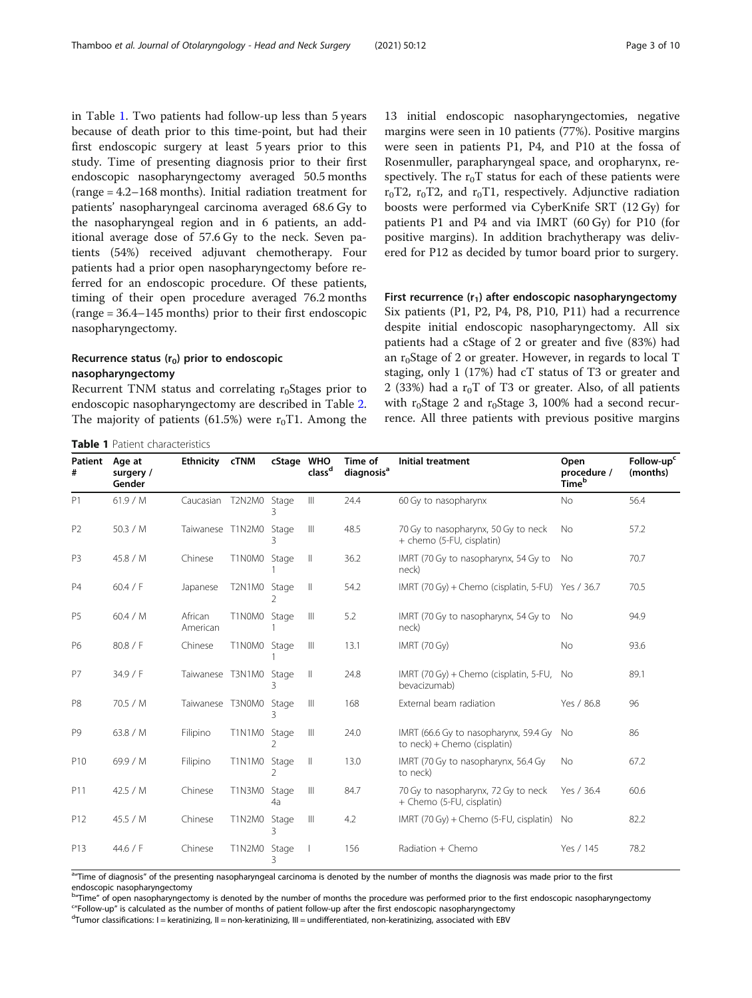in Table 1. Two patients had follow-up less than 5 years because of death prior to this time-point, but had their first endoscopic surgery at least 5 years prior to this study. Time of presenting diagnosis prior to their first endoscopic nasopharyngectomy averaged 50.5 months (range = 4.2–168 months). Initial radiation treatment for patients' nasopharyngeal carcinoma averaged 68.6 Gy to the nasopharyngeal region and in 6 patients, an additional average dose of 57.6 Gy to the neck. Seven patients (54%) received adjuvant chemotherapy. Four patients had a prior open nasopharyngectomy before referred for an endoscopic procedure. Of these patients, timing of their open procedure averaged 76.2 months (range = 36.4–145 months) prior to their first endoscopic nasopharyngectomy.

# Recurrence status  $(r_0)$  prior to endoscopic nasopharyngectomy

Recurrent TNM status and correlating  $r_0$ Stages prior to endoscopic nasopharyngectomy are described in Table [2](#page-3-0). The majority of patients (61.5%) were  $r_0T1$ . Among the

Table 1 Patient characteristics

13 initial endoscopic nasopharyngectomies, negative margins were seen in 10 patients (77%). Positive margins were seen in patients P1, P4, and P10 at the fossa of Rosenmuller, parapharyngeal space, and oropharynx, respectively. The  $r_0T$  status for each of these patients were  $r_0T2$ ,  $r_0T2$ , and  $r_0T1$ , respectively. Adjunctive radiation boosts were performed via CyberKnife SRT (12 Gy) for patients P1 and P4 and via IMRT (60 Gy) for P10 (for positive margins). In addition brachytherapy was delivered for P12 as decided by tumor board prior to surgery.

First recurrence  $(r_1)$  after endoscopic nasopharyngectomy Six patients (P1, P2, P4, P8, P10, P11) had a recurrence despite initial endoscopic nasopharyngectomy. All six patients had a cStage of 2 or greater and five (83%) had an  $r_0$ Stage of 2 or greater. However, in regards to local T staging, only 1 (17%) had cT status of T3 or greater and 2 (33%) had a  $r_0T$  of T3 or greater. Also, of all patients with  $r_0$ Stage 2 and  $r_0$ Stage 3, 100% had a second recurrence. All three patients with previous positive margins

| Patient<br>#   | Age at<br>surgery /<br>Gender | <b>Ethnicity</b>    | <b>cTNM</b>   | cStage WHO              | class <sup>d</sup> | Time of<br>diagnosis <sup>a</sup> | Initial treatment                                                        | Open<br>procedure /<br>Timeb | Follow-up <sup>c</sup><br>(months) |
|----------------|-------------------------------|---------------------|---------------|-------------------------|--------------------|-----------------------------------|--------------------------------------------------------------------------|------------------------------|------------------------------------|
| P1             | 61.9/M                        | Caucasian T2N2M0    |               | Stage                   | $\mathbb{H}$       | 24.4                              | 60 Gy to nasopharynx                                                     | No                           | 56.4                               |
| P <sub>2</sub> | 50.3 / M                      | Taiwanese T1N2M0    |               | Stage<br>ζ              | Ш                  | 48.5                              | 70 Gy to nasopharynx, 50 Gy to neck<br>+ chemo (5-FU, cisplatin)         | <b>No</b>                    | 57.2                               |
| P <sub>3</sub> | 45.8 / M                      | Chinese             | T1N0M0        | Stage                   | $\mathbb{I}$       | 36.2                              | IMRT (70 Gy to nasopharynx, 54 Gy to<br>neck)                            | No                           | 70.7                               |
| <b>P4</b>      | 60.4 / F                      | Japanese            | T2N1M0        | Stage<br>2              | $\mathbb{I}$       | 54.2                              | IMRT (70 Gy) + Chemo (cisplatin, 5-FU) Yes / 36.7                        |                              | 70.5                               |
| P <sub>5</sub> | 60.4 / M                      | African<br>American | T1N0M0        | Stage                   | $\mathbb{H}$       | 5.2                               | IMRT (70 Gy to nasopharynx, 54 Gy to<br>neck)                            | No                           | 94.9                               |
| P6             | 80.8 / F                      | Chinese             | T1N0M0        | Stage                   | $\mathbb{H}$       | 13.1                              | <b>IMRT (70 Gy)</b>                                                      | <b>No</b>                    | 93.6                               |
| P7             | 34.9 / F                      | Taiwanese T3N1M0    |               | Stage<br>ζ              | $\mathbb{I}$       | 24.8                              | IMRT (70 Gy) + Chemo (cisplatin, 5-FU, No<br>bevacizumab)                |                              | 89.1                               |
| P8             | 70.5 / M                      | Taiwanese T3N0M0    |               | Stage<br>3              | $\mathbb{H}$       | 168                               | External beam radiation                                                  | Yes / 86.8                   | 96                                 |
| P <sub>9</sub> | 63.8 / M                      | Filipino            | T1N1M0        | Stage<br>$\mathcal{P}$  | $\mathbb{H}$       | 24.0                              | IMRT (66.6 Gy to nasopharynx, 59.4 Gy<br>to $neck$ ) + Chemo (cisplatin) | - No                         | 86                                 |
| P10            | 69.9 / M                      | Filipino            | T1N1M0        | Stage<br>$\mathfrak{D}$ | $\mathbb{I}$       | 13.0                              | IMRT (70 Gy to nasopharynx, 56.4 Gy<br>to neck)                          | <b>No</b>                    | 67.2                               |
| P11            | 42.5 / M                      | Chinese             | T1N3M0        | Stage<br>4a             | Ш                  | 84.7                              | 70 Gy to nasopharynx, 72 Gy to neck<br>+ Chemo (5-FU, cisplatin)         | Yes / 36.4                   | 60.6                               |
| P12            | 45.5 / M                      | Chinese             | <b>T1N2M0</b> | Stage<br>Β              | Ш                  | 4.2                               | IMRT (70 Gy) + Chemo (5-FU, cisplatin) No                                |                              | 82.2                               |
| P13            | 44.6 / F                      | Chinese             | T1N2M0        | Stage<br>3              |                    | 156                               | Radiation + Chemo                                                        | Yes / 145                    | 78.2                               |

<sup>a</sup> Time of diagnosis" of the presenting nasopharyngeal carcinoma is denoted by the number of months the diagnosis was made prior to the first endoscopic nasopharyngectomy

b"Time" of open nasopharyngectomy is denoted by the number of months the procedure was performed prior to the first endoscopic nasopharyngectomy<br>""Follow un" is calculated as the number of months of patient follow up after <sup>c</sup>"Follow-up" is calculated as the number of months of patient follow-up after the first endoscopic nasopharyngectomy

 $d$ Tumor classifications: I = keratinizing, II = non-keratinizing, III = undifferentiated, non-keratinizing, associated with EBV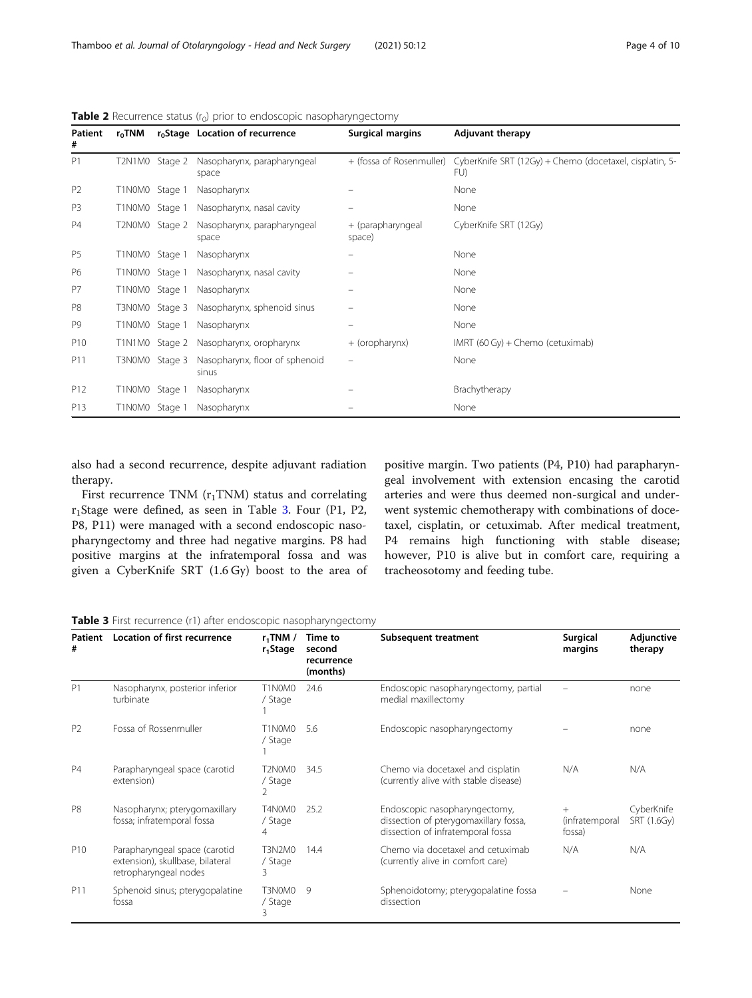| Patient<br>#    | $r_0$ TNM      |                | r <sub>o</sub> Stage Location of recurrence | <b>Surgical margins</b>     | <b>Adjuvant therapy</b>                                        |
|-----------------|----------------|----------------|---------------------------------------------|-----------------------------|----------------------------------------------------------------|
| P1              |                | T2N1M0 Stage 2 | Nasopharynx, parapharyngeal<br>space        | + (fossa of Rosenmuller)    | CyberKnife SRT (12Gy) + Chemo (docetaxel, cisplatin, 5-<br>FU) |
| P <sub>2</sub>  | T1N0M0         | Stage 1        | Nasopharynx                                 |                             | None                                                           |
| P <sub>3</sub>  | T1N0M0 Stage 1 |                | Nasopharynx, nasal cavity                   |                             | None                                                           |
| <b>P4</b>       |                | T2N0M0 Stage 2 | Nasopharynx, parapharyngeal<br>space        | + (parapharyngeal<br>space) | CyberKnife SRT (12Gy)                                          |
| P <sub>5</sub>  | T1N0M0 Stage 1 |                | Nasopharynx                                 |                             | None                                                           |
| P6              | T1N0M0 Stage 1 |                | Nasopharynx, nasal cavity                   |                             | None                                                           |
| P7              | T1N0M0         | Stage 1        | Nasopharynx                                 |                             | None                                                           |
| P <sub>8</sub>  |                | T3N0M0 Stage 3 | Nasopharynx, sphenoid sinus                 |                             | None                                                           |
| P <sub>9</sub>  | T1N0M0 Stage 1 |                | Nasopharynx                                 |                             | None                                                           |
| P10             |                | T1N1M0 Stage 2 | Nasopharynx, oropharynx                     | + (oropharynx)              | IMRT (60 Gy) + Chemo (cetuximab)                               |
| P11             |                | T3N0M0 Stage 3 | Nasopharynx, floor of sphenoid<br>sinus     |                             | None                                                           |
| P12             | T1N0M0 Stage 1 |                | Nasopharynx                                 |                             | Brachytherapy                                                  |
| P <sub>13</sub> | T1N0M0 Stage 1 |                | Nasopharynx                                 |                             | None                                                           |

<span id="page-3-0"></span>Table 2 Recurrence status (r<sub>0</sub>) prior to endoscopic nasopharyngectomy

also had a second recurrence, despite adjuvant radiation therapy.

First recurrence TNM  $(r_1TNM)$  status and correlating  $r_1$ Stage were defined, as seen in Table 3. Four (P1, P2, P8, P11) were managed with a second endoscopic nasopharyngectomy and three had negative margins. P8 had positive margins at the infratemporal fossa and was given a CyberKnife SRT (1.6 Gy) boost to the area of

positive margin. Two patients (P4, P10) had parapharyngeal involvement with extension encasing the carotid arteries and were thus deemed non-surgical and underwent systemic chemotherapy with combinations of docetaxel, cisplatin, or cetuximab. After medical treatment, P4 remains high functioning with stable disease; however, P10 is alive but in comfort care, requiring a tracheosotomy and feeding tube.

| Table 3 First recurrence (r1) after endoscopic nasopharyngectomy |  |  |  |  |  |  |
|------------------------------------------------------------------|--|--|--|--|--|--|
|------------------------------------------------------------------|--|--|--|--|--|--|

| Patient<br>#    | Location of first recurrence                                                               | $r_1$ TNM /<br>Time to<br>$r_1$ Stage<br>second<br>recurrence<br>(months) |              | Subsequent treatment                                                                                        | Surgical<br>margins             | Adjunctive<br>therapy     |
|-----------------|--------------------------------------------------------------------------------------------|---------------------------------------------------------------------------|--------------|-------------------------------------------------------------------------------------------------------------|---------------------------------|---------------------------|
| P <sub>1</sub>  | Nasopharynx, posterior inferior<br>turbinate                                               | T1N0M0<br>/ Stage                                                         | 24.6         | Endoscopic nasopharyngectomy, partial<br>medial maxillectomy                                                |                                 | none                      |
| P <sub>2</sub>  | Fossa of Rossenmuller                                                                      | T1N0M0<br>/ Stage                                                         | 5.6          | Endoscopic nasopharyngectomy                                                                                |                                 | none                      |
| <b>P4</b>       | Parapharyngeal space (carotid<br>extension)                                                | T2N0M0<br>/ Stage<br>2                                                    | 34.5         | Chemo via docetaxel and cisplatin<br>(currently alive with stable disease)                                  | N/A                             | N/A                       |
| P <sub>8</sub>  | Nasopharynx; pterygomaxillary<br>fossa; infratemporal fossa                                | T4N0M0<br>/ Stage<br>4                                                    | 25.2         | Endoscopic nasopharyngectomy,<br>dissection of pterygomaxillary fossa,<br>dissection of infratemporal fossa | $+$<br>(infratemporal<br>fossa) | CyberKnife<br>SRT (1.6Gy) |
| P <sub>10</sub> | Parapharyngeal space (carotid<br>extension), skullbase, bilateral<br>retropharyngeal nodes | T3N2M0<br>/ Stage<br>3                                                    | 14.4         | Chemo via docetaxel and cetuximab<br>(currently alive in comfort care)                                      | N/A                             | N/A                       |
| P11             | Sphenoid sinus; pterygopalatine<br>fossa                                                   | T3N0M0<br>/ Stage<br>3                                                    | $\mathsf{Q}$ | Sphenoidotomy; pterygopalatine fossa<br>dissection                                                          |                                 | None                      |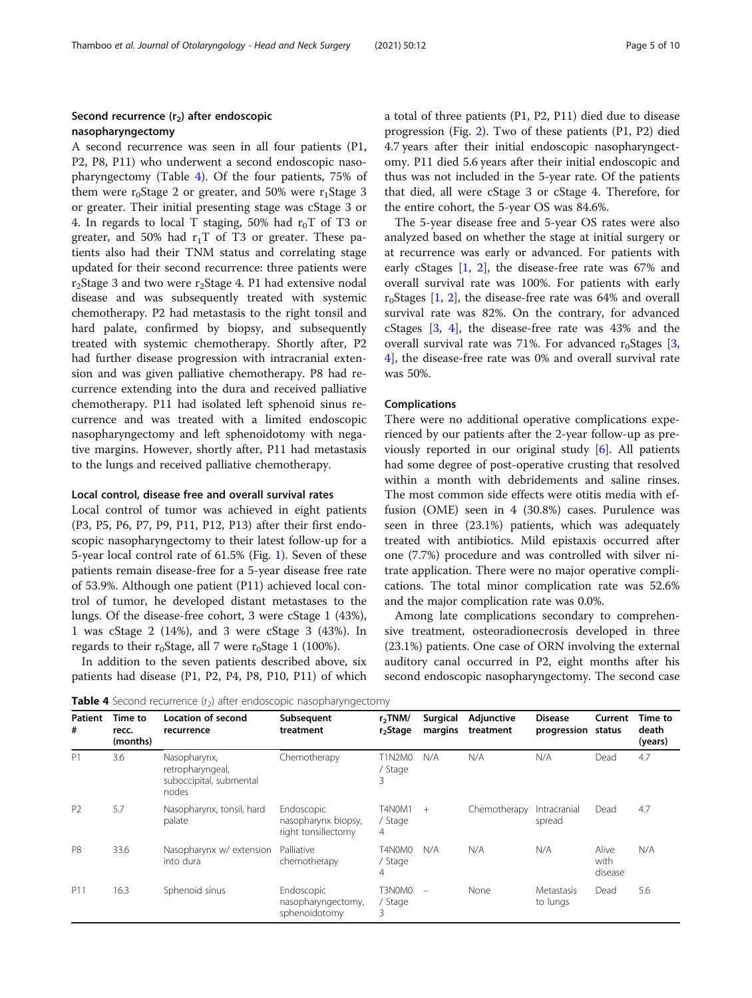# Second recurrence  $(r_2)$  after endoscopic nasopharyngectomy

A second recurrence was seen in all four patients (P1, P2, P8, P11) who underwent a second endoscopic nasopharyngectomy (Table 4). Of the four patients, 75% of them were  $r_0$ Stage 2 or greater, and 50% were  $r_1$ Stage 3 or greater. Their initial presenting stage was cStage 3 or 4. In regards to local T staging, 50% had  $r_0T$  of T3 or greater, and 50% had  $r_1T$  of T3 or greater. These patients also had their TNM status and correlating stage updated for their second recurrence: three patients were  $r<sub>2</sub>Stage 3$  and two were  $r<sub>2</sub>Stage 4$ . P1 had extensive nodal disease and was subsequently treated with systemic chemotherapy. P2 had metastasis to the right tonsil and hard palate, confirmed by biopsy, and subsequently treated with systemic chemotherapy. Shortly after, P2 had further disease progression with intracranial extension and was given palliative chemotherapy. P8 had recurrence extending into the dura and received palliative chemotherapy. P11 had isolated left sphenoid sinus recurrence and was treated with a limited endoscopic nasopharyngectomy and left sphenoidotomy with negative margins. However, shortly after, P11 had metastasis to the lungs and received palliative chemotherapy.

## Local control, disease free and overall survival rates

Local control of tumor was achieved in eight patients (P3, P5, P6, P7, P9, P11, P12, P13) after their first endoscopic nasopharyngectomy to their latest follow-up for a 5-year local control rate of 61.5% (Fig. [1\)](#page-5-0). Seven of these patients remain disease-free for a 5-year disease free rate of 53.9%. Although one patient (P11) achieved local control of tumor, he developed distant metastases to the lungs. Of the disease-free cohort, 3 were cStage 1 (43%), 1 was cStage 2 (14%), and 3 were cStage 3 (43%). In regards to their  $r_0$ Stage, all 7 were  $r_0$ Stage 1 (100%).

In addition to the seven patients described above, six patients had disease (P1, P2, P4, P8, P10, P11) of which a total of three patients (P1, P2, P11) died due to disease progression (Fig. [2\)](#page-5-0). Two of these patients (P1, P2) died 4.7 years after their initial endoscopic nasopharyngectomy. P11 died 5.6 years after their initial endoscopic and thus was not included in the 5-year rate. Of the patients that died, all were cStage 3 or cStage 4. Therefore, for the entire cohort, the 5-year OS was 84.6%.

The 5-year disease free and 5-year OS rates were also analyzed based on whether the stage at initial surgery or at recurrence was early or advanced. For patients with early cStages [\[1](#page-8-0), [2\]](#page-8-0), the disease-free rate was 67% and overall survival rate was 100%. For patients with early  $r_0$ Stages [\[1](#page-8-0), [2](#page-8-0)], the disease-free rate was 64% and overall survival rate was 82%. On the contrary, for advanced cStages [\[3,](#page-8-0) [4](#page-8-0)], the disease-free rate was 43% and the overall survival rate was 71%. For advanced  $r_0$ Stages [[3](#page-8-0), [4\]](#page-8-0), the disease-free rate was 0% and overall survival rate was 50%.

# Complications

There were no additional operative complications experienced by our patients after the 2-year follow-up as previously reported in our original study [[6\]](#page-8-0). All patients had some degree of post-operative crusting that resolved within a month with debridements and saline rinses. The most common side effects were otitis media with effusion (OME) seen in 4 (30.8%) cases. Purulence was seen in three (23.1%) patients, which was adequately treated with antibiotics. Mild epistaxis occurred after one (7.7%) procedure and was controlled with silver nitrate application. There were no major operative complications. The total minor complication rate was 52.6% and the major complication rate was 0.0%.

Among late complications secondary to comprehensive treatment, osteoradionecrosis developed in three (23.1%) patients. One case of ORN involving the external auditory canal occurred in P2, eight months after his second endoscopic nasopharyngectomy. The second case

**Table 4** Second recurrence  $(r_2)$  after endoscopic nasopharyngectomy

| <b>Patient</b><br># | Time to<br>recc.<br>(months) | <b>Location of second</b><br>recurrence                              | Subsequent<br>treatment                                  | $r2$ TNM/<br>r <sub>2</sub> Stage | Surgical<br>margins      | Adjunctive<br>treatment | <b>Disease</b><br>progression | Current<br>status        | Time to<br>death<br>(years) |
|---------------------|------------------------------|----------------------------------------------------------------------|----------------------------------------------------------|-----------------------------------|--------------------------|-------------------------|-------------------------------|--------------------------|-----------------------------|
| P <sub>1</sub>      | 3.6                          | Nasopharynx,<br>retropharyngeal,<br>suboccipital, submental<br>nodes | Chemotherapy                                             | T1N2M0<br>/ Stage<br>3            | N/A                      | N/A                     | N/A                           | Dead                     | 4.7                         |
| P <sub>2</sub>      | 5.7                          | Nasopharynx, tonsil, hard<br>palate                                  | Endoscopic<br>nasopharynx biopsy,<br>right tonsillectomy | T4N0M1<br>/ Stage<br>4            | $+$                      | Chemotherapy            | Intracranial<br>spread        | Dead                     | 4.7                         |
| P <sub>8</sub>      | 33.6                         | Nasopharynx w/ extension<br>into dura                                | Palliative<br>chemotherapy                               | T4N0M0<br>/ Stage<br>4            | N/A                      | N/A                     | N/A                           | Alive<br>with<br>disease | N/A                         |
| P11                 | 16.3                         | Sphenoid sinus                                                       | Endoscopic<br>nasopharyngectomy,<br>sphenoidotomy        | T3N0M0<br>/ Stage<br>3            | $\overline{\phantom{m}}$ | None                    | Metastasis<br>to lungs        | Dead                     | 5.6                         |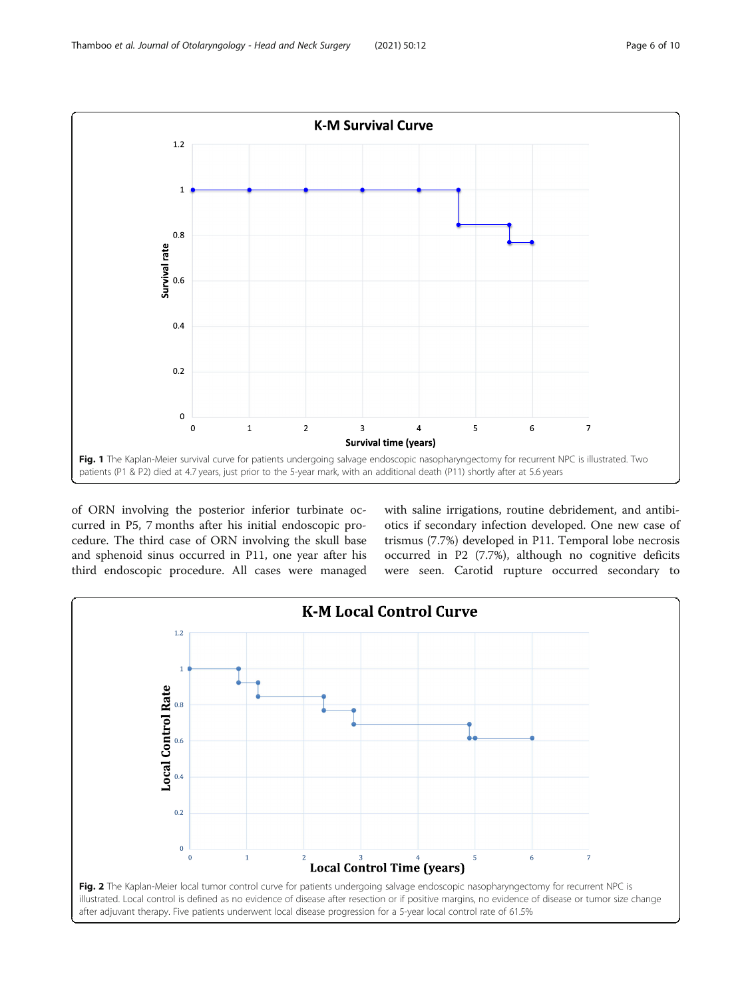<span id="page-5-0"></span>

of ORN involving the posterior inferior turbinate occurred in P5, 7 months after his initial endoscopic procedure. The third case of ORN involving the skull base and sphenoid sinus occurred in P11, one year after his third endoscopic procedure. All cases were managed with saline irrigations, routine debridement, and antibiotics if secondary infection developed. One new case of trismus (7.7%) developed in P11. Temporal lobe necrosis occurred in P2 (7.7%), although no cognitive deficits were seen. Carotid rupture occurred secondary to

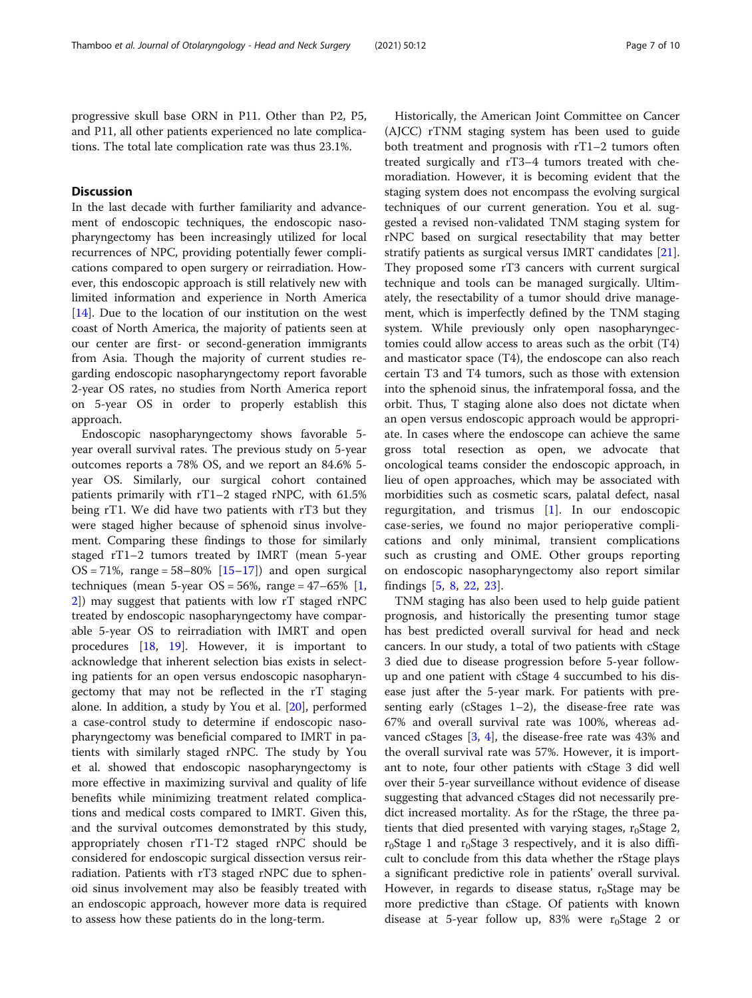progressive skull base ORN in P11. Other than P2, P5, and P11, all other patients experienced no late complications. The total late complication rate was thus 23.1%.

# **Discussion**

In the last decade with further familiarity and advancement of endoscopic techniques, the endoscopic nasopharyngectomy has been increasingly utilized for local recurrences of NPC, providing potentially fewer complications compared to open surgery or reirradiation. However, this endoscopic approach is still relatively new with limited information and experience in North America [[14\]](#page-8-0). Due to the location of our institution on the west coast of North America, the majority of patients seen at our center are first- or second-generation immigrants from Asia. Though the majority of current studies regarding endoscopic nasopharyngectomy report favorable 2-year OS rates, no studies from North America report on 5-year OS in order to properly establish this approach.

Endoscopic nasopharyngectomy shows favorable 5 year overall survival rates. The previous study on 5-year outcomes reports a 78% OS, and we report an 84.6% 5 year OS. Similarly, our surgical cohort contained patients primarily with rT1–2 staged rNPC, with 61.5% being rT1. We did have two patients with rT3 but they were staged higher because of sphenoid sinus involvement. Comparing these findings to those for similarly staged rT1–2 tumors treated by IMRT (mean 5-year  $OS = 71\%$ , range = 58–80%  $[15-17]$  $[15-17]$  $[15-17]$  and open surgical techniques (mean 5-year  $OS = 56\%$ , range = 47–65%  $[1,$  $[1,$  $[1,$ [2\]](#page-8-0)) may suggest that patients with low rT staged rNPC treated by endoscopic nasopharyngectomy have comparable 5-year OS to reirradiation with IMRT and open procedures [\[18](#page-9-0), [19\]](#page-9-0). However, it is important to acknowledge that inherent selection bias exists in selecting patients for an open versus endoscopic nasopharyngectomy that may not be reflected in the rT staging alone. In addition, a study by You et al. [\[20\]](#page-9-0), performed a case-control study to determine if endoscopic nasopharyngectomy was beneficial compared to IMRT in patients with similarly staged rNPC. The study by You et al. showed that endoscopic nasopharyngectomy is more effective in maximizing survival and quality of life benefits while minimizing treatment related complications and medical costs compared to IMRT. Given this, and the survival outcomes demonstrated by this study, appropriately chosen rT1-T2 staged rNPC should be considered for endoscopic surgical dissection versus reirradiation. Patients with rT3 staged rNPC due to sphenoid sinus involvement may also be feasibly treated with an endoscopic approach, however more data is required to assess how these patients do in the long-term.

Historically, the American Joint Committee on Cancer (AJCC) rTNM staging system has been used to guide both treatment and prognosis with rT1–2 tumors often treated surgically and rT3–4 tumors treated with chemoradiation. However, it is becoming evident that the staging system does not encompass the evolving surgical techniques of our current generation. You et al. suggested a revised non-validated TNM staging system for rNPC based on surgical resectability that may better stratify patients as surgical versus IMRT candidates [\[21](#page-9-0)]. They proposed some rT3 cancers with current surgical technique and tools can be managed surgically. Ultimately, the resectability of a tumor should drive management, which is imperfectly defined by the TNM staging system. While previously only open nasopharyngectomies could allow access to areas such as the orbit (T4) and masticator space (T4), the endoscope can also reach certain T3 and T4 tumors, such as those with extension into the sphenoid sinus, the infratemporal fossa, and the orbit. Thus, T staging alone also does not dictate when an open versus endoscopic approach would be appropriate. In cases where the endoscope can achieve the same gross total resection as open, we advocate that oncological teams consider the endoscopic approach, in lieu of open approaches, which may be associated with morbidities such as cosmetic scars, palatal defect, nasal regurgitation, and trismus [[1\]](#page-8-0). In our endoscopic case-series, we found no major perioperative complications and only minimal, transient complications such as crusting and OME. Other groups reporting on endoscopic nasopharyngectomy also report similar findings [\[5](#page-8-0), [8](#page-8-0), [22](#page-9-0), [23\]](#page-9-0).

TNM staging has also been used to help guide patient prognosis, and historically the presenting tumor stage has best predicted overall survival for head and neck cancers. In our study, a total of two patients with cStage 3 died due to disease progression before 5-year followup and one patient with cStage 4 succumbed to his disease just after the 5-year mark. For patients with presenting early (cStages  $1-2$ ), the disease-free rate was 67% and overall survival rate was 100%, whereas advanced cStages [\[3](#page-8-0), [4\]](#page-8-0), the disease-free rate was 43% and the overall survival rate was 57%. However, it is important to note, four other patients with cStage 3 did well over their 5-year surveillance without evidence of disease suggesting that advanced cStages did not necessarily predict increased mortality. As for the rStage, the three patients that died presented with varying stages,  $r_0$ Stage 2,  $r_0$ Stage 1 and  $r_0$ Stage 3 respectively, and it is also difficult to conclude from this data whether the rStage plays a significant predictive role in patients' overall survival. However, in regards to disease status,  $r_0$ Stage may be more predictive than cStage. Of patients with known disease at 5-year follow up, 83% were  $r_0$ Stage 2 or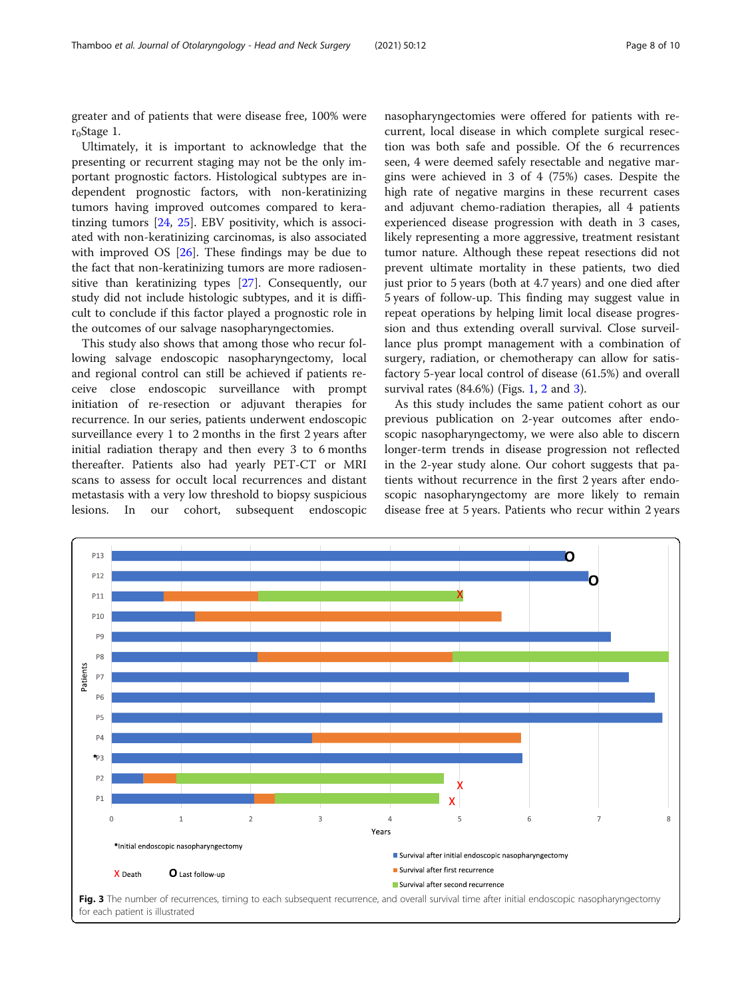greater and of patients that were disease free, 100% were  $r_0$ Stage 1.

Ultimately, it is important to acknowledge that the presenting or recurrent staging may not be the only important prognostic factors. Histological subtypes are independent prognostic factors, with non-keratinizing tumors having improved outcomes compared to keratinzing tumors [[24,](#page-9-0) [25](#page-9-0)]. EBV positivity, which is associated with non-keratinizing carcinomas, is also associated with improved OS [\[26](#page-9-0)]. These findings may be due to the fact that non-keratinizing tumors are more radiosensitive than keratinizing types [[27](#page-9-0)]. Consequently, our study did not include histologic subtypes, and it is difficult to conclude if this factor played a prognostic role in the outcomes of our salvage nasopharyngectomies.

This study also shows that among those who recur following salvage endoscopic nasopharyngectomy, local and regional control can still be achieved if patients receive close endoscopic surveillance with prompt initiation of re-resection or adjuvant therapies for recurrence. In our series, patients underwent endoscopic surveillance every 1 to 2 months in the first 2 years after initial radiation therapy and then every 3 to 6 months thereafter. Patients also had yearly PET-CT or MRI scans to assess for occult local recurrences and distant metastasis with a very low threshold to biopsy suspicious lesions. In our cohort, subsequent endoscopic

nasopharyngectomies were offered for patients with recurrent, local disease in which complete surgical resection was both safe and possible. Of the 6 recurrences seen, 4 were deemed safely resectable and negative margins were achieved in 3 of 4 (75%) cases. Despite the high rate of negative margins in these recurrent cases and adjuvant chemo-radiation therapies, all 4 patients experienced disease progression with death in 3 cases, likely representing a more aggressive, treatment resistant tumor nature. Although these repeat resections did not prevent ultimate mortality in these patients, two died just prior to 5 years (both at 4.7 years) and one died after 5 years of follow-up. This finding may suggest value in repeat operations by helping limit local disease progression and thus extending overall survival. Close surveillance plus prompt management with a combination of surgery, radiation, or chemotherapy can allow for satisfactory 5-year local control of disease (61.5%) and overall survival rates  $(84.6\%)$  (Figs. [1,](#page-5-0) [2](#page-5-0) and 3).

As this study includes the same patient cohort as our previous publication on 2-year outcomes after endoscopic nasopharyngectomy, we were also able to discern longer-term trends in disease progression not reflected in the 2-year study alone. Our cohort suggests that patients without recurrence in the first 2 years after endoscopic nasopharyngectomy are more likely to remain disease free at 5 years. Patients who recur within 2 years

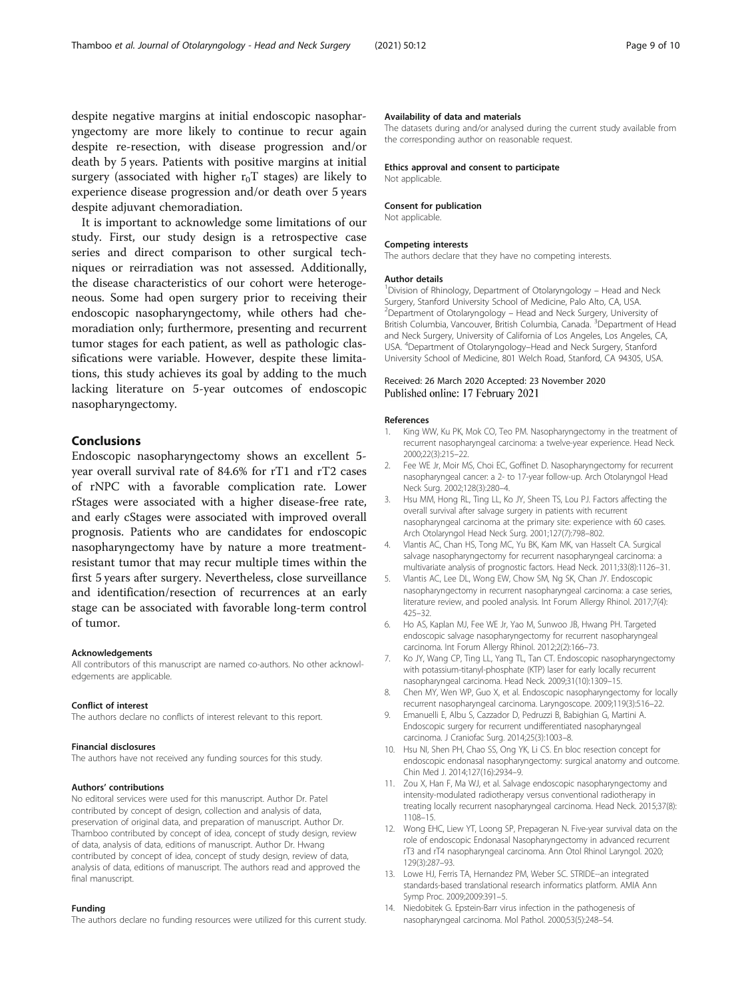<span id="page-8-0"></span>despite negative margins at initial endoscopic nasopharyngectomy are more likely to continue to recur again despite re-resection, with disease progression and/or death by 5 years. Patients with positive margins at initial surgery (associated with higher  $r_0T$  stages) are likely to experience disease progression and/or death over 5 years despite adjuvant chemoradiation.

It is important to acknowledge some limitations of our study. First, our study design is a retrospective case series and direct comparison to other surgical techniques or reirradiation was not assessed. Additionally, the disease characteristics of our cohort were heterogeneous. Some had open surgery prior to receiving their endoscopic nasopharyngectomy, while others had chemoradiation only; furthermore, presenting and recurrent tumor stages for each patient, as well as pathologic classifications were variable. However, despite these limitations, this study achieves its goal by adding to the much lacking literature on 5-year outcomes of endoscopic nasopharyngectomy.

# Conclusions

Endoscopic nasopharyngectomy shows an excellent 5 year overall survival rate of 84.6% for rT1 and rT2 cases of rNPC with a favorable complication rate. Lower rStages were associated with a higher disease-free rate, and early cStages were associated with improved overall prognosis. Patients who are candidates for endoscopic nasopharyngectomy have by nature a more treatmentresistant tumor that may recur multiple times within the first 5 years after surgery. Nevertheless, close surveillance and identification/resection of recurrences at an early stage can be associated with favorable long-term control of tumor.

#### Acknowledgements

All contributors of this manuscript are named co-authors. No other acknowledgements are applicable.

#### Conflict of interest

The authors declare no conflicts of interest relevant to this report.

#### Financial disclosures

The authors have not received any funding sources for this study.

#### Authors' contributions

No editoral services were used for this manuscript. Author Dr. Patel contributed by concept of design, collection and analysis of data, preservation of original data, and preparation of manuscript. Author Dr. Thamboo contributed by concept of idea, concept of study design, review of data, analysis of data, editions of manuscript. Author Dr. Hwang contributed by concept of idea, concept of study design, review of data, analysis of data, editions of manuscript. The authors read and approved the final manuscript.

## Funding

The authors declare no funding resources were utilized for this current study.

#### Availability of data and materials

The datasets during and/or analysed during the current study available from the corresponding author on reasonable request.

#### Ethics approval and consent to participate Not applicable.

#### Consent for publication Not applicable.

#### Competing interests

The authors declare that they have no competing interests.

#### Author details

<sup>1</sup> Division of Rhinology, Department of Otolaryngology - Head and Neck Surgery, Stanford University School of Medicine, Palo Alto, CA, USA. 2 Department of Otolaryngology – Head and Neck Surgery, University of British Columbia, Vancouver, British Columbia, Canada. <sup>3</sup>Department of Head and Neck Surgery, University of California of Los Angeles, Los Angeles, CA, USA. <sup>4</sup> Department of Otolaryngology–Head and Neck Surgery, Stanford University School of Medicine, 801 Welch Road, Stanford, CA 94305, USA.

# Received: 26 March 2020 Accepted: 23 November 2020 Published online: 17 February 2021

#### References

- 1. King WW, Ku PK, Mok CO, Teo PM. Nasopharyngectomy in the treatment of recurrent nasopharyngeal carcinoma: a twelve-year experience. Head Neck. 2000;22(3):215–22.
- 2. Fee WE Jr, Moir MS, Choi EC, Goffinet D. Nasopharyngectomy for recurrent nasopharyngeal cancer: a 2- to 17-year follow-up. Arch Otolaryngol Head Neck Surg. 2002;128(3):280–4.
- 3. Hsu MM, Hong RL, Ting LL, Ko JY, Sheen TS, Lou PJ. Factors affecting the overall survival after salvage surgery in patients with recurrent nasopharyngeal carcinoma at the primary site: experience with 60 cases. Arch Otolaryngol Head Neck Surg. 2001;127(7):798–802.
- 4. Vlantis AC, Chan HS, Tong MC, Yu BK, Kam MK, van Hasselt CA. Surgical salvage nasopharyngectomy for recurrent nasopharyngeal carcinoma: a multivariate analysis of prognostic factors. Head Neck. 2011;33(8):1126–31.
- Vlantis AC, Lee DL, Wong EW, Chow SM, Ng SK, Chan JY. Endoscopic nasopharyngectomy in recurrent nasopharyngeal carcinoma: a case series, literature review, and pooled analysis. Int Forum Allergy Rhinol. 2017;7(4): 425–32.
- 6. Ho AS, Kaplan MJ, Fee WE Jr, Yao M, Sunwoo JB, Hwang PH. Targeted endoscopic salvage nasopharyngectomy for recurrent nasopharyngeal carcinoma. Int Forum Allergy Rhinol. 2012;2(2):166–73.
- Ko JY, Wang CP, Ting LL, Yang TL, Tan CT. Endoscopic nasopharyngectomy with potassium-titanyl-phosphate (KTP) laser for early locally recurrent nasopharyngeal carcinoma. Head Neck. 2009;31(10):1309–15.
- 8. Chen MY, Wen WP, Guo X, et al. Endoscopic nasopharyngectomy for locally recurrent nasopharyngeal carcinoma. Laryngoscope. 2009;119(3):516–22.
- 9. Emanuelli E, Albu S, Cazzador D, Pedruzzi B, Babighian G, Martini A. Endoscopic surgery for recurrent undifferentiated nasopharyngeal carcinoma. J Craniofac Surg. 2014;25(3):1003–8.
- 10. Hsu NI, Shen PH, Chao SS, Ong YK, Li CS. En bloc resection concept for endoscopic endonasal nasopharyngectomy: surgical anatomy and outcome. Chin Med J. 2014;127(16):2934–9.
- 11. Zou X, Han F, Ma WJ, et al. Salvage endoscopic nasopharyngectomy and intensity-modulated radiotherapy versus conventional radiotherapy in treating locally recurrent nasopharyngeal carcinoma. Head Neck. 2015;37(8): 1108–15.
- 12. Wong EHC, Liew YT, Loong SP, Prepageran N. Five-year survival data on the role of endoscopic Endonasal Nasopharyngectomy in advanced recurrent rT3 and rT4 nasopharyngeal carcinoma. Ann Otol Rhinol Laryngol. 2020; 129(3):287–93.
- 13. Lowe HJ, Ferris TA, Hernandez PM, Weber SC. STRIDE--an integrated standards-based translational research informatics platform. AMIA Ann Symp Proc. 2009;2009:391–5.
- 14. Niedobitek G. Epstein-Barr virus infection in the pathogenesis of nasopharyngeal carcinoma. Mol Pathol. 2000;53(5):248–54.